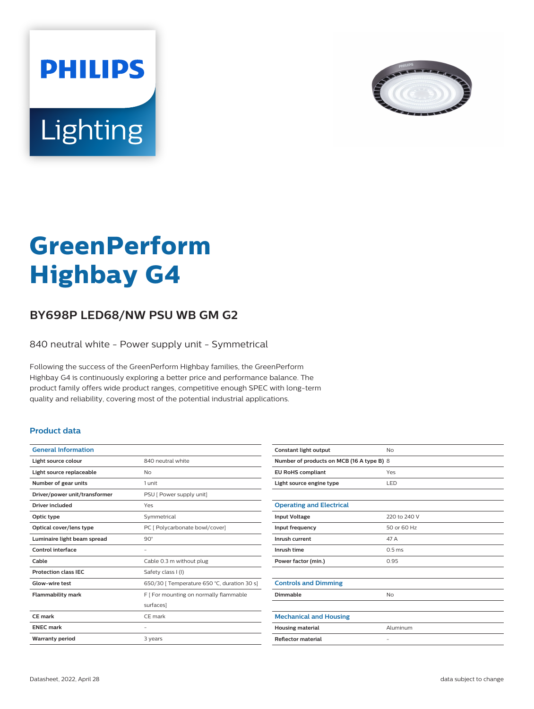



# **GreenPerform Highbay G4**

## **BY698P LED68/NW PSU WB GM G2**

840 neutral white - Power supply unit - Symmetrical

Following the success of the GreenPerform Highbay families, the GreenPerform Highbay G4 is continuously exploring a better price and performance balance. The product family offers wide product ranges, competitive enough SPEC with long-term quality and reliability, covering most of the potential industrial applications.

### **Product data**

| <b>General Information</b>    |                                             |
|-------------------------------|---------------------------------------------|
| Light source colour           | 840 neutral white                           |
| Light source replaceable      | No                                          |
| Number of gear units          | 1 unit                                      |
| Driver/power unit/transformer | PSU [ Power supply unit]                    |
| Driver included               | Yes                                         |
| Optic type                    | Symmetrical                                 |
| Optical cover/lens type       | PC [ Polycarbonate bowl/cover]              |
| Luminaire light beam spread   | $90^\circ$                                  |
| Control interface             |                                             |
| Cable                         | Cable 0.3 m without plug                    |
| <b>Protection class IEC</b>   | Safety class I (I)                          |
| Glow-wire test                | 650/30   Temperature 650 °C, duration 30 s] |
| <b>Flammability mark</b>      | F   For mounting on normally flammable      |
|                               | surfaces]                                   |
| CF mark                       | CF mark                                     |
| <b>ENEC mark</b>              |                                             |
| <b>Warranty period</b>        | 3 years                                     |
|                               |                                             |

| Constant light output                     | No                |  |
|-------------------------------------------|-------------------|--|
| Number of products on MCB (16 A type B) 8 |                   |  |
| <b>EU RoHS compliant</b>                  | Yes               |  |
| Light source engine type                  | LED               |  |
|                                           |                   |  |
| <b>Operating and Electrical</b>           |                   |  |
| <b>Input Voltage</b>                      | 220 to 240 V      |  |
| Input frequency                           | 50 or 60 Hz       |  |
| Inrush current                            | 47 A              |  |
| Inrush time                               | 0.5 <sub>ms</sub> |  |
| Power factor (min.)                       | 0.95              |  |
|                                           |                   |  |
| <b>Controls and Dimming</b>               |                   |  |
| Dimmable                                  | <b>No</b>         |  |
|                                           |                   |  |
| <b>Mechanical and Housing</b>             |                   |  |
| <b>Housing material</b>                   | Aluminum          |  |
| <b>Reflector material</b>                 | $\qquad \qquad -$ |  |
|                                           |                   |  |